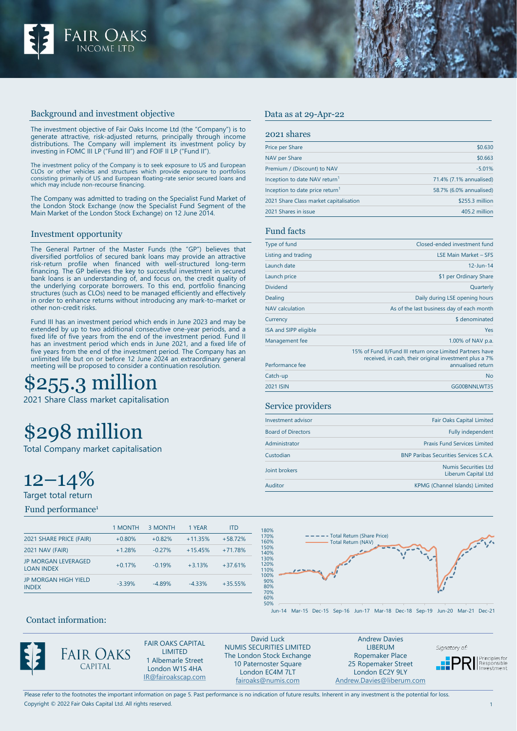

## Background and investment objective

The investment objective of Fair Oaks Income Ltd (the "Company") is to generate attractive, risk-adjusted returns, principally through income distributions. The Company will implement its investment policy by investing in FOMC III LP ("Fund III") and FOIF II LP ("Fund II").

The investment policy of the Company is to seek exposure to US and European CLOs or other vehicles and structures which provide exposure to portfolios consisting primarily of US and European floating-rate senior secured loans and which may include non-recourse financing.

The Company was admitted to trading on the Specialist Fund Market of the London Stock Exchange (now the Specialist Fund Segment of the Main Market of the London Stock Exchange) on 12 June 2014.

#### Investment opportunity

The General Partner of the Master Funds (the "GP") believes that diversified portfolios of secured bank loans may provide an attractive risk-return profile when financed with well-structured long-term financing. The GP believes the key to successful investment in secured bank loans is an understanding of, and focus on, the credit quality of the underlying corporate borrowers. To this end, portfolio financing structures (such as CLOs) need to be managed efficiently and effectively in order to enhance returns without introducing any mark-to-market or other non-credit risks.

Fund III has an investment period which ends in June 2023 and may be extended by up to two additional consecutive one-year periods, and a fixed life of five years from the end of the investment period. Fund II has an investment period which ends in June 2021, and a fixed life of five years from the end of the investment period. The Company has an unlimited life but on or before 12 June 2024 an extraordinary general meeting will be proposed to consider a continuation resolution.

# 255.3 million

2021 Share Class market capitalisation

# \$298 million

Total Company market capitalisation

 $12 - 14\%$ 

Target total return

Fund performance<sup>1</sup>

|                                                 | 1 MONTH  | 3 MONTH  | 1 YEAR    | <b>ITD</b> |
|-------------------------------------------------|----------|----------|-----------|------------|
| 2021 SHARE PRICE (FAIR)                         | $+0.80%$ | $+0.82%$ | $+11.35%$ | $+58.72%$  |
| <b>2021 NAV (FAIR)</b>                          | $+1.28%$ | $-0.27%$ | $+15.45%$ | $+71.78%$  |
| <b>JP MORGAN LEVERAGED</b><br><b>LOAN INDEX</b> | $+0.17%$ | $-0.19%$ | $+3.13%$  | $+37.61%$  |
| <b>JP MORGAN HIGH YIELD</b><br><b>INDEX</b>     | $-3.39%$ | $-4.89%$ | $-4.33%$  | $+35.55%$  |
|                                                 |          |          |           |            |

# Price per Share \$0.630 NAV per Share \$0.663

| Premium / (Discount) to NAV                 | $-5.01%$                |
|---------------------------------------------|-------------------------|
| Inception to date NAV return <sup>1</sup>   | 71.4% (7.1% annualised) |
| Inception to date price return <sup>1</sup> | 58.7% (6.0% annualised) |
| 2021 Share Class market capitalisation      | \$255.3 million         |
| 2021 Shares in issue                        | 405.2 million           |

## Fund facts

2021 shares

Data as at 29-Apr-22

| Type of fund           | Closed-ended investment fund                                                                                                             |
|------------------------|------------------------------------------------------------------------------------------------------------------------------------------|
| Listing and trading    | <b>LSE Main Market - SES</b>                                                                                                             |
| Launch date            | $12 - Jun - 14$                                                                                                                          |
| Launch price           | \$1 per Ordinary Share                                                                                                                   |
| <b>Dividend</b>        | Quarterly                                                                                                                                |
| Dealing                | Daily during LSE opening hours                                                                                                           |
| <b>NAV</b> calculation | As of the last business day of each month                                                                                                |
| Currency               | \$ denominated                                                                                                                           |
| ISA and SIPP eligible  | Yes                                                                                                                                      |
| Management fee         | 1.00% of NAV p.a.                                                                                                                        |
| Performance fee        | 15% of Fund II/Fund III return once Limited Partners have<br>received, in cash, their original investment plus a 7%<br>annualised return |
| Catch-up               | <b>No</b>                                                                                                                                |
| 2021 ISIN              | GG00BNNLWT35                                                                                                                             |

#### Service providers

| Investment advisor        | <b>Fair Oaks Capital Limited</b>                   |
|---------------------------|----------------------------------------------------|
| <b>Board of Directors</b> | <b>Fully independent</b>                           |
| Administrator             | <b>Praxis Fund Services Limited</b>                |
| Custodian                 | <b>BNP Paribas Securities Services S.C.A.</b>      |
| Joint brokers             | <b>Numis Securities Ltd</b><br>Liberum Capital Ltd |
| Auditor                   | KPMG (Channel Islands) Limited                     |



#### Jun-14 Mar-15 Dec-15 Sep-16 Jun-17 Mar-18 Dec-18 Sep-19 Jun-20 Mar-21 Dec-21

# Contact information:



FAIR OAKS CAPITAL LIMITED 1 Albemarle Street London W1S 4HA [IR@fairoakscap.com](mailto:IR@fairoakscap.com)

David Luck NUMIS SECURITIES LIMITED The London Stock Exchange 10 Paternoster Square London EC4M 7LT [fairoaks@numis.com](mailto:fairoaks@numis.com)

Andrew Davies LIBERUM Ropemaker Place 25 Ropemaker Street London EC2Y 9LY [Andrew.Davies@liberum.com](mailto:Andrew.Davies@liberum.com)

Signatory of:

**PRI** Responsible

Copyright © 2022 Fair Oaks Capital Ltd. All rights reserved. Please refer to the footnotes the important information on page 5. Past performance is no indication of future results. Inherent in any investment is the potential for loss.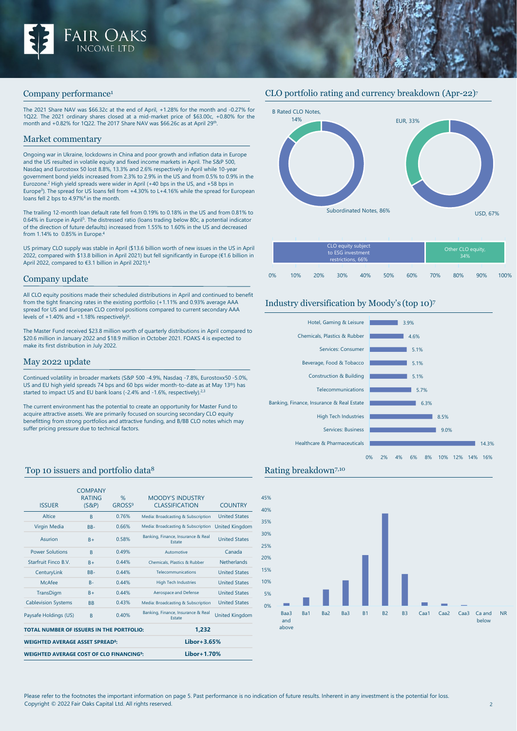

#### Company performance1

The 2021 Share NAV was \$66.32c at the end of April, +1.28% for the month and -0.27% for 1Q22. The 2021 ordinary shares closed at a mid-market price of \$63.00c, +0.80% for the month and +0.82% for 1Q22. The 2017 Share NAV was \$66.26c as at April 29th.

#### Market commentary

Ongoing war in Ukraine, lockdowns in China and poor growth and inflation data in Europe and the US resulted in volatile equity and fixed income markets in April. The S&P 500, Nasdaq and Eurostoxx 50 lost 8.8%, 13.3% and 2.6% respectively in April while 10-year government bond yields increased from 2.3% to 2.9% in the US and from 0.5% to 0.9% in the Eurozone.2 High yield spreads were wider in April (+40 bps in the US, and +58 bps in Europe3). The spread for US loans fell from +4.30% to L+4.16% while the spread for European loans fell 2 bps to 4.97%4 in the month.

The trailing 12-month loan default rate fell from 0.19% to 0.18% in the US and from 0.81% to 0.64% in Europe in April5. The distressed ratio (loans trading below 80c, a potential indicator of the direction of future defaults) increased from 1.55% to 1.60% in the US and decreased from 1.14% to 0.85% in Europe.4

US primary CLO supply was stable in April (\$13.6 billion worth of new issues in the US in April 2022, compared with \$13.8 billion in April 2021) but fell significantly in Europe (€1.6 billion in April 2022, compared to €3.1 billion in April 2021).4

## Company update

All CLO equity positions made their scheduled distributions in April and continued to benefit from the tight financing rates in the existing portfolio (+1.11% and 0.93% average AAA spread for US and European CLO control positions compared to current secondary AAA levels of +1.40% and +1.18% respectively)6.

The Master Fund received \$23.8 million worth of quarterly distributions in April compared to \$20.6 million in January 2022 and \$18.9 million in October 2021. FOAKS 4 is expected to make its first distribution in July 2022.

## May 2022 update

Continued volatility in broader markets (S&P 500 -4.9%, Nasdaq -7.8%, Eurostoxx50 -5.0%, US and EU high yield spreads 74 bps and 60 bps wider month-to-date as at May 13th) has started to impact US and EU bank loans (-2.4% and -1.6%, respectively).<sup>2,3</sup>

The current environment has the potential to create an opportunity for Master Fund to acquire attractive assets. We are primarily focused on sourcing secondary CLO equity benefitting from strong portfolios and attractive funding, and B/BB CLO notes which may suffer pricing pressure due to technical factors.

# Top 10 issuers and portfolio data<sup>8</sup> Rating breakdown<sup>7,10</sup>

| <b>BB</b><br>R<br>TOTAL NUMBER OF ISSUERS IN THE PORTEOLIO:<br><b>WEIGHTED AVERAGE ASSET SPREAD<sup>8</sup></b> | 0.43%<br>0.40% | Media: Broadcasting & Subscription<br>Banking, Finance, Insurance & Real<br>Estate<br>1,232<br>$Libor+3.65%$ | <b>United States</b><br><b>United Kingdom</b> |  |
|-----------------------------------------------------------------------------------------------------------------|----------------|--------------------------------------------------------------------------------------------------------------|-----------------------------------------------|--|
|                                                                                                                 |                |                                                                                                              |                                               |  |
|                                                                                                                 |                |                                                                                                              |                                               |  |
|                                                                                                                 |                |                                                                                                              |                                               |  |
|                                                                                                                 |                |                                                                                                              |                                               |  |
| $B +$                                                                                                           | 0.44%          | Aerospace and Defense                                                                                        | <b>United States</b>                          |  |
| $B -$                                                                                                           | 0.44%          | <b>High Tech Industries</b>                                                                                  | <b>United States</b>                          |  |
| $BB -$                                                                                                          | 0.44%          | Telecommunications                                                                                           | <b>United States</b>                          |  |
| $B +$                                                                                                           | 0.44%          | Chemicals, Plastics & Rubber                                                                                 | <b>Netherlands</b>                            |  |
| $\overline{B}$                                                                                                  | 0.49%          | Automotive                                                                                                   | Canada                                        |  |
| $B +$                                                                                                           | 0.58%          | Banking, Finance, Insurance & Real<br>Estate                                                                 | <b>United States</b>                          |  |
| $RB-$                                                                                                           | 0.66%          | Media: Broadcasting & Subscription                                                                           | <b>United Kingdom</b>                         |  |
| R                                                                                                               | 0.76%          | Media: Broadcasting & Subscription                                                                           | <b>United States</b>                          |  |
| <b>COMPANY</b><br>$\frac{9}{6}$<br><b>RATING</b><br>GROSS <sup>9</sup><br>$(S\&P)$                              |                | <b>MOODY'S INDUSTRY</b><br><b>CLASSIFICATION</b>                                                             | <b>COUNTRY</b>                                |  |
|                                                                                                                 |                |                                                                                                              |                                               |  |

# CLO portfolio rating and currency breakdown (Apr-22)7



|    | CLO equity subject<br>to ESG investment<br>restrictions, 66% |     |     |     |     |     |     | Other CLO equity,<br>34% |     |      |  |  |
|----|--------------------------------------------------------------|-----|-----|-----|-----|-----|-----|--------------------------|-----|------|--|--|
|    |                                                              |     |     |     |     |     |     |                          |     |      |  |  |
| 0% | 10%                                                          | 20% | 30% | 40% | 50% | 60% | 70% | 80%                      | 90% | 100% |  |  |

# Industry diversification by Moody's (top 10)7





Copyright © 2022 Fair Oaks Capital Ltd. All rights reserved. 2 Please refer to the footnotes the important information on page 5. Past performance is no indication of future results. Inherent in any investment is the potential for loss.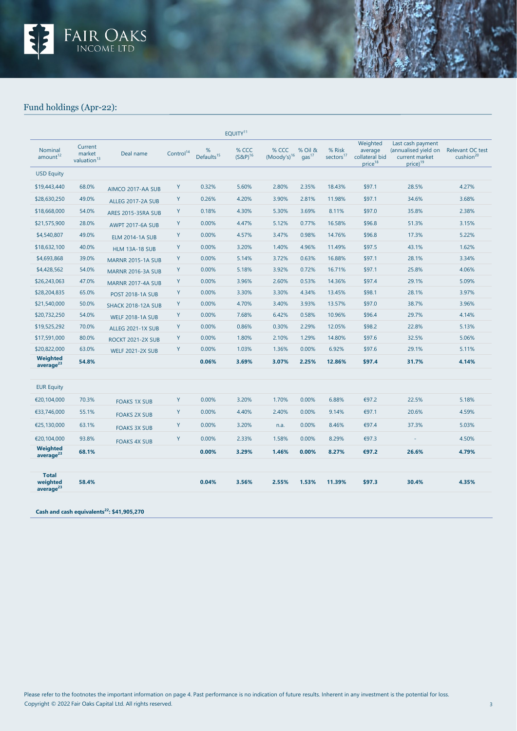

# Fund holdings (Apr-22):

|                                                   |                                              |                           |                       |                             | EOUITY <sup>11</sup>   |                           |                              |                                 |                                                              |                                                                                     |                                           |
|---------------------------------------------------|----------------------------------------------|---------------------------|-----------------------|-----------------------------|------------------------|---------------------------|------------------------------|---------------------------------|--------------------------------------------------------------|-------------------------------------------------------------------------------------|-------------------------------------------|
| Nominal<br>amount <sup>12</sup>                   | Current<br>market<br>valuation <sup>13</sup> | Deal name                 | Control <sup>14</sup> | %<br>Defaults <sup>15</sup> | % CCC<br>$(S\&P)^{16}$ | % CCC<br>$(Moody's)^{16}$ | % Oil &<br>gas <sup>17</sup> | % Risk<br>sectors <sup>17</sup> | Weighted<br>average<br>collateral bid<br>price <sup>18</sup> | Last cash payment<br>(annualised yield on<br>current market<br>price) <sup>19</sup> | Relevant OC test<br>cushion <sup>20</sup> |
| <b>USD Equity</b>                                 |                                              |                           |                       |                             |                        |                           |                              |                                 |                                                              |                                                                                     |                                           |
| \$19,443,440                                      | 68.0%                                        | AIMCO 2017-AA SUB         | Y                     | 0.32%                       | 5.60%                  | 2.80%                     | 2.35%                        | 18.43%                          | \$97.1                                                       | 28.5%                                                                               | 4.27%                                     |
| \$28,630,250                                      | 49.0%                                        | ALLEG 2017-2A SUB         | Y                     | 0.26%                       | 4.20%                  | 3.90%                     | 2.81%                        | 11.98%                          | \$97.1                                                       | 34.6%                                                                               | 3.68%                                     |
| \$18,668,000                                      | 54.0%                                        | <b>ARES 2015-35RA SUB</b> | Y                     | 0.18%                       | 4.30%                  | 5.30%                     | 3.69%                        | 8.11%                           | \$97.0                                                       | 35.8%                                                                               | 2.38%                                     |
| \$21,575,900                                      | 28.0%                                        | <b>AWPT 2017-6A SUB</b>   | Y                     | 0.00%                       | 4.47%                  | 5.12%                     | 0.77%                        | 16.58%                          | \$96.8                                                       | 51.3%                                                                               | 3.15%                                     |
| \$4,540,807                                       | 49.0%                                        | <b>ELM 2014-1A SUB</b>    | Y                     | 0.00%                       | 4.57%                  | 3.47%                     | 0.98%                        | 14.76%                          | \$96.8                                                       | 17.3%                                                                               | 5.22%                                     |
| \$18,632,100                                      | 40.0%                                        | <b>HLM 13A-18 SUB</b>     | Y                     | 0.00%                       | 3.20%                  | 1.40%                     | 4.96%                        | 11.49%                          | \$97.5                                                       | 43.1%                                                                               | 1.62%                                     |
| \$4,693,868                                       | 39.0%                                        | <b>MARNR 2015-1A SUB</b>  | Y                     | 0.00%                       | 5.14%                  | 3.72%                     | 0.63%                        | 16.88%                          | \$97.1                                                       | 28.1%                                                                               | 3.34%                                     |
| \$4,428,562                                       | 54.0%                                        | <b>MARNR 2016-3A SUB</b>  | Y                     | 0.00%                       | 5.18%                  | 3.92%                     | 0.72%                        | 16.71%                          | \$97.1                                                       | 25.8%                                                                               | 4.06%                                     |
| \$26,243,063                                      | 47.0%                                        | <b>MARNR 2017-4A SUB</b>  | Y                     | 0.00%                       | 3.96%                  | 2.60%                     | 0.53%                        | 14.36%                          | \$97.4                                                       | 29.1%                                                                               | 5.09%                                     |
| \$28,204,835                                      | 65.0%                                        | <b>POST 2018-1A SUB</b>   | Y                     | 0.00%                       | 3.30%                  | 3.30%                     | 4.34%                        | 13.45%                          | \$98.1                                                       | 28.1%                                                                               | 3.97%                                     |
| \$21,540,000                                      | 50.0%                                        | <b>SHACK 2018-12A SUB</b> | Y                     | 0.00%                       | 4.70%                  | 3.40%                     | 3.93%                        | 13.57%                          | \$97.0                                                       | 38.7%                                                                               | 3.96%                                     |
| \$20,732,250                                      | 54.0%                                        | <b>WELF 2018-1A SUB</b>   | Y                     | 0.00%                       | 7.68%                  | 6.42%                     | 0.58%                        | 10.96%                          | \$96.4                                                       | 29.7%                                                                               | 4.14%                                     |
| \$19,525,292                                      | 70.0%                                        | <b>ALLEG 2021-1X SUB</b>  | Y                     | 0.00%                       | 0.86%                  | 0.30%                     | 2.29%                        | 12.05%                          | \$98.2                                                       | 22.8%                                                                               | 5.13%                                     |
| \$17,591,000                                      | 80.0%                                        | <b>ROCKT 2021-2X SUB</b>  | Y                     | 0.00%                       | 1.80%                  | 2.10%                     | 1.29%                        | 14.80%                          | \$97.6                                                       | 32.5%                                                                               | 5.06%                                     |
| \$20,822,000                                      | 63.0%                                        | <b>WELF 2021-2X SUB</b>   | Y                     | 0.00%                       | 1.03%                  | 1.36%                     | 0.00%                        | 6.92%                           | \$97.6                                                       | 29.1%                                                                               | 5.11%                                     |
| <b>Weighted</b><br>average $^{23}$                | 54.8%                                        |                           |                       | 0.06%                       | 3.69%                  | 3.07%                     | 2.25%                        | 12.86%                          | \$97.4                                                       | 31.7%                                                                               | 4.14%                                     |
| <b>EUR Equity</b>                                 |                                              |                           |                       |                             |                        |                           |                              |                                 |                                                              |                                                                                     |                                           |
| €20,104,000                                       | 70.3%                                        | <b>FOAKS 1X SUB</b>       | Y                     | 0.00%                       | 3.20%                  | 1.70%                     | 0.00%                        | 6.88%                           | €97.2                                                        | 22.5%                                                                               | 5.18%                                     |
| €33,746,000                                       | 55.1%                                        | <b>FOAKS 2X SUB</b>       | Y                     | 0.00%                       | 4.40%                  | 2.40%                     | 0.00%                        | 9.14%                           | €97.1                                                        | 20.6%                                                                               | 4.59%                                     |
| €25,130,000                                       | 63.1%                                        | <b>FOAKS 3X SUB</b>       | Y                     | 0.00%                       | 3.20%                  | n.a.                      | 0.00%                        | 8.46%                           | €97.4                                                        | 37.3%                                                                               | 5.03%                                     |
| €20,104,000                                       | 93.8%                                        | <b>FOAKS 4X SUB</b>       | Y                     | 0.00%                       | 2.33%                  | 1.58%                     | 0.00%                        | 8.29%                           | €97.3                                                        | $\sim$                                                                              | 4.50%                                     |
| <b>Weighted</b><br>average <sup>23</sup>          | 68.1%                                        |                           |                       | 0.00%                       | 3.29%                  | 1.46%                     | 0.00%                        | 8.27%                           | €97.2                                                        | 26.6%                                                                               | 4.79%                                     |
| <b>Total</b><br>weighted<br>average <sup>23</sup> | 58.4%                                        |                           |                       | 0.04%                       | 3.56%                  | 2.55%                     | 1.53%                        | 11.39%                          | \$97.3                                                       | 30.4%                                                                               | 4.35%                                     |

**Cash and cash equivalents22: \$41,905,270**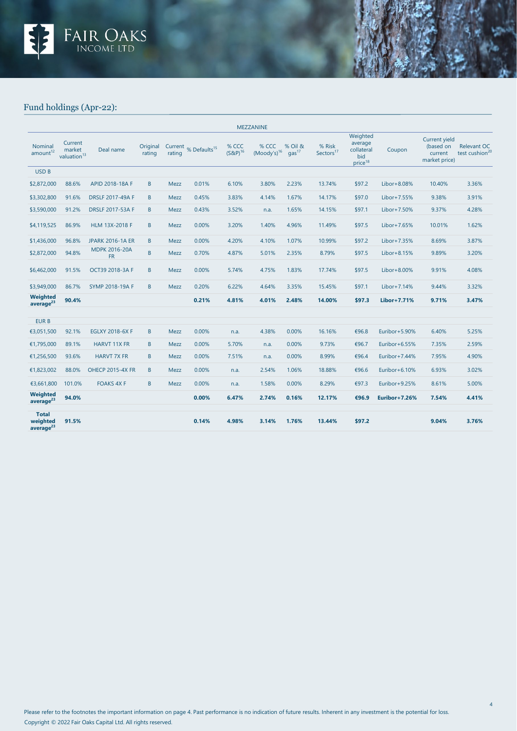

# Fund holdings (Apr-22):

| <b>MEZZANINE</b>                                  |                                              |                                   |                    |             |                                  |                        |                           |                              |                                 |                                                                 |                  |                                                               |                                           |
|---------------------------------------------------|----------------------------------------------|-----------------------------------|--------------------|-------------|----------------------------------|------------------------|---------------------------|------------------------------|---------------------------------|-----------------------------------------------------------------|------------------|---------------------------------------------------------------|-------------------------------------------|
| Nominal<br>amount <sup>12</sup>                   | Current<br>market<br>valuation <sup>13</sup> | Deal name                         | Original<br>rating | rating      | Current % Defaults <sup>15</sup> | % CCC<br>$(S\&P)^{16}$ | % CCC<br>$(Moody's)^{16}$ | % Oil &<br>qas <sup>17</sup> | % Risk<br>Sectors <sup>17</sup> | Weighted<br>average<br>collateral<br>bid<br>price <sup>18</sup> | Coupon           | <b>Current yield</b><br>(based on<br>current<br>market price) | Relevant OC<br>test cushion <sup>20</sup> |
| <b>USD B</b>                                      |                                              |                                   |                    |             |                                  |                        |                           |                              |                                 |                                                                 |                  |                                                               |                                           |
| \$2,872,000                                       | 88.6%                                        | APID 2018-18A F                   | B                  | <b>Mezz</b> | 0.01%                            | 6.10%                  | 3.80%                     | 2.23%                        | 13.74%                          | \$97.2                                                          | Libor+8.08%      | 10.40%                                                        | 3.36%                                     |
| \$3,302,800                                       | 91.6%                                        | <b>DRSLF 2017-49A F</b>           | B                  | Mezz        | 0.45%                            | 3.83%                  | 4.14%                     | 1.67%                        | 14.17%                          | \$97.0                                                          | Libor+7.55%      | 9.38%                                                         | 3.91%                                     |
| \$3,590,000                                       | 91.2%                                        | <b>DRSLF 2017-53A F</b>           | B                  | Mezz        | 0.43%                            | 3.52%                  | n.a.                      | 1.65%                        | 14.15%                          | \$97.1                                                          | Libor+7.50%      | 9.37%                                                         | 4.28%                                     |
| \$4,119,525                                       | 86.9%                                        | HLM 13X-2018 F                    | B                  | Mezz        | 0.00%                            | 3.20%                  | 1.40%                     | 4.96%                        | 11.49%                          | \$97.5                                                          | Libor+7.65%      | 10.01%                                                        | 1.62%                                     |
| \$1,436,000                                       | 96.8%                                        | <b>JPARK 2016-1A ER</b>           | B                  | Mezz        | 0.00%                            | 4.20%                  | 4.10%                     | 1.07%                        | 10.99%                          | \$97.2                                                          | Libor+7.35%      | 8.69%                                                         | 3.87%                                     |
| \$2,872,000                                       | 94.8%                                        | <b>MDPK 2016-20A</b><br><b>FR</b> | B                  | <b>Mezz</b> | 0.70%                            | 4.87%                  | 5.01%                     | 2.35%                        | 8.79%                           | \$97.5                                                          | Libor+8.15%      | 9.89%                                                         | 3.20%                                     |
| \$6,462,000                                       | 91.5%                                        | OCT39 2018-3A F                   | B                  | Mezz        | 0.00%                            | 5.74%                  | 4.75%                     | 1.83%                        | 17.74%                          | \$97.5                                                          | $Libor+8.00%$    | 9.91%                                                         | 4.08%                                     |
| \$3,949,000                                       | 86.7%                                        | <b>SYMP 2018-19A F</b>            | B                  | <b>Mezz</b> | 0.20%                            | 6.22%                  | 4.64%                     | 3.35%                        | 15.45%                          | \$97.1                                                          | $Libor+7.14%$    | 9.44%                                                         | 3.32%                                     |
| Weighted<br>average <sup>23</sup>                 | 90.4%                                        |                                   |                    |             | 0.21%                            | 4.81%                  | 4.01%                     | 2.48%                        | 14.00%                          | \$97.3                                                          | Libor+7.71%      | 9.71%                                                         | 3.47%                                     |
| <b>EURB</b>                                       |                                              |                                   |                    |             |                                  |                        |                           |                              |                                 |                                                                 |                  |                                                               |                                           |
| €3,051,500                                        | 92.1%                                        | <b>EGLXY 2018-6X F</b>            | $\mathsf B$        | Mezz        | 0.00%                            | n.a.                   | 4.38%                     | 0.00%                        | 16.16%                          | €96.8                                                           | Euribor+5.90%    | 6.40%                                                         | 5.25%                                     |
| €1,795,000                                        | 89.1%                                        | <b>HARVT 11X FR</b>               | B                  | Mezz        | 0.00%                            | 5.70%                  | n.a.                      | 0.00%                        | 9.73%                           | €96.7                                                           | Euribor $+6.55%$ | 7.35%                                                         | 2.59%                                     |
| €1,256,500                                        | 93.6%                                        | <b>HARVT 7X FR</b>                | B                  | Mezz        | 0.00%                            | 7.51%                  | n.a.                      | 0.00%                        | 8.99%                           | €96.4                                                           | Euribor+7.44%    | 7.95%                                                         | 4.90%                                     |
| €1,823,002                                        | 88.0%                                        | <b>OHECP 2015-4X FR</b>           | B                  | <b>Mezz</b> | 0.00%                            | n.a.                   | 2.54%                     | 1.06%                        | 18.88%                          | €96.6                                                           | Euribor+6.10%    | 6.93%                                                         | 3.02%                                     |
| €3,661,800                                        | 101.0%                                       | <b>FOAKS 4X F</b>                 | B                  | Mezz        | 0.00%                            | n.a.                   | 1.58%                     | 0.00%                        | 8.29%                           | €97.3                                                           | Euribor+9.25%    | 8.61%                                                         | 5.00%                                     |
| Weighted<br>average <sup>23</sup>                 | 94.0%                                        |                                   |                    |             | 0.00%                            | 6.47%                  | 2.74%                     | 0.16%                        | 12.17%                          | €96.9                                                           | Euribor+7.26%    | 7.54%                                                         | 4.41%                                     |
| <b>Total</b><br>weighted<br>average <sup>23</sup> | 91.5%                                        |                                   |                    |             | 0.14%                            | 4.98%                  | 3.14%                     | 1.76%                        | 13.44%                          | \$97.2                                                          |                  | 9.04%                                                         | 3.76%                                     |